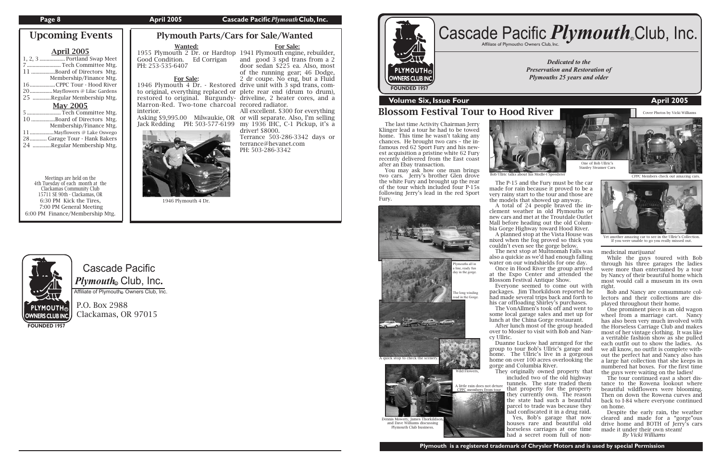### **Page 8 April 2005 Cascade Pacific** *Plymouth* Club, Inc.

# Cascade Pacific  $\boldsymbol{P} \boldsymbol{l}$ y*mouth*. Club, Inc.

Affiliate of Plymouth Owners Club, Inc.

P.O. Box 2988 Clackamas, OR 97015

**FOUNDED 1957**

**PLYMOUTH® OWNERS CLUB INC FOUNDED 1957**

*Dedicated to the Preservation and Restoration of Plymouths 25 years and older*



# **Volume Six, Issue Four April 2005**

# Plymouth Parts/Cars for Sale/Wanted

# Blossom Festival Tour to Hood River

# Wanted:

Jack Redding PH: 503-577-6199 my 1936 IHC, C-1 Pickup, it's a | The last time Activity Chairman Jerry Klinger lead a tour he had to be towed home. This time he wasn't taking any chances. He brought two cars – the infamous red 62 Sport Fury and his newest acquisition a pristine white 62 Fury recently delivered from the East coast after an Ebay transaction.

Good Condition. Ed Corrigan PH: 253-535-6407

For Sale:

to original, everything replaced or plete rear end (drum to drum), restored to original. Burgundy-driveline, 2 heater cores, and a Marron-Red. Two-tone charcoal recored radiator. interior.

> You may ask how one man brings two cars. Jerry's brother Glen drove the white Fury and brought up the rear of the tour which included four P-15s following Jerry's lead in the red Sport Fury.

 The P-15 and the Fury must be the car made for rain because it proved to be a very rainy start to the tour and those are the models that showed up anyway.

 A total of 24 people braved the inclement weather in old Plymouths or new cars and met at the Troutdale Outlet Mall before heading out the old Columbia Gorge Highway toward Hood River.

 A planned stop at the Vista House was nixed when the fog proved so thick you couldn't even see the gorge below. The next stop at Multnomah Falls was

also a quickie as we'd had enough falling water on our windshields for one day.

 Once in Hood River the group arrived at the Expo Center and attended the Blossom Festival Antique Show.

 Everyone seemed to come out with packages. Jim Thorkildson reported he had made several trips back and forth to his car offloading Shirley's purchases. The VonAllmen's took off and went to

some local garage sales and met up for lunch at the China Gorge restaurant. After lunch most of the group headed over to Mosier to visit with Bob and Nan-

Dennis Mowery, James Thorkildso and Dave Williams discussing Plymouth Club business.

cy Ullric.

mbers from tour

# Cascade Pacific *Plymouth*.Club, Inc.

1955 Plymouth 2 Dr. or Hardtop 1941 Plymouth engine, rebuilder, 1946 Plymouth 4 Dr. - Restored drive unit with 3 spd trans, comand good 3 spd trans from a 2 door sedan \$225 ea. Also, most of the running gear; 46 Dodge, 2 dr coupe. No eng, but a Fluid

> Duanne Luckow had arranged for the group to tour Bob's Ullric's garage and

medicinal marijuana!

Asking \$9,995.00 Milwaukie, OR or will separate. Also, I'm selling

 While the guys toured with Bob through his three garages the ladies were more than entertained by a tour by Nancy of their beautiful home which most would call a museum in its own right.

 Bob and Nancy are consummate collectors and their collections are displayed throughout their home.

 One prominent piece is an old wagon wheel from a marriage cart. Nancy has also been very much involved with the Horseless Carriage Club and makes most of her vintage clothing. It was like a veritable fashion show as she pulled each outfit out to show the ladies. As we all know, no outfit is complete without the perfect hat and Nancy also has a large hat collection that she keeps in numbered hat boxes. For the first time the guys were waiting on the ladies!

home. The Ullric's live in a gorgeous home on over 100 acres overlooking the gorge and Columbia River. They originally owned property that included two of the old highway tunnels. The state traded them that property for the property they currently own. The reason the state had such a beautiful parcel to trade was because they had confiscated it in a drug raid. Yes, Bob's garage that now houses rare and beautiful old horseless carriages at one time had a secret room full of non-

 The tour continued east a short distance to the Rowena lookout where beautiful wildflowers were blooming. Then on down the Rowena curves and back to I-84 where everyone continued on home.

 Despite the early rain, the weather cleared and made for a "gorge"ous drive home and BOTH of Jerry's cars made it under their own steam!

*By Vicki Williams*

### For Sale:

All excellent. \$300 for everything

driver! \$8000.

Terrance 503-286-3342 days or terrance@hevanet.com PH: 503-286-3342







A quick stop to check the scen



One of Bob Ullric's Stanley Steamer Cars



1946 Plymouth 4 Dr.



Yet another amazing car to see in the Ullric's Collection. If you were unable to go you really missed out.

**PLYMOUTH®** OWNERS CLUB INC. Cover Photos by Vicki Williams

### April 2005

| 1, 2, 3  Portland Swap Meet    |  |  |
|--------------------------------|--|--|
| 7  Tech Committee Mtg.         |  |  |
| 11 Board of Directors Mtg.     |  |  |
| Membership/Finance Mtg.        |  |  |
| 16CPPC Tour - Hood River       |  |  |
| 20  Mayflowers @ Lilac Gardens |  |  |
| 25 Regular Membership Mtg.     |  |  |
|                                |  |  |
| <b>May 2005</b>                |  |  |
| 5  Tech Committee Mtg.         |  |  |
| 10 Board of Directors Mtg.     |  |  |
| Membership/Finance Mtg.        |  |  |
|                                |  |  |
| 28 Garage Tour - Hank Bakers   |  |  |

Meetings are held on the 4th Tuesday of each month at the Clackamas Community Club 15711 SE 90th - Clackamas, OR 6:30 PM Kick the Tires, 7:00 PM General Meeting 6:00 PM Finance/Membership Mtg.

# Upcoming Events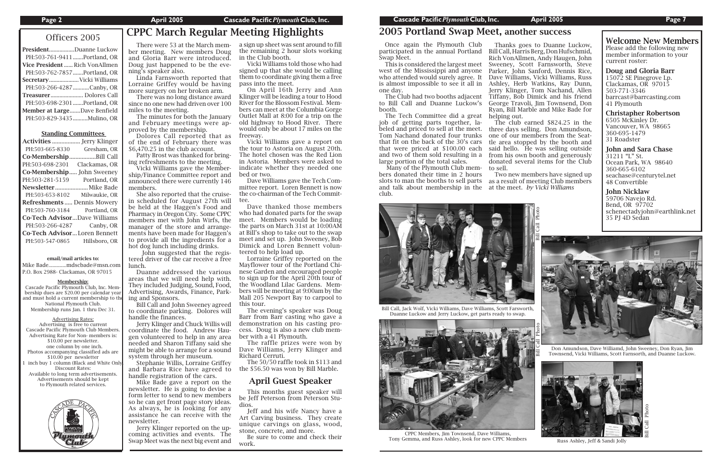#### Standing Committees

Mike Bade..............mdscbade@msn.com P.O. Box 2988- Clackamas, OR 97015

| <b>Activities </b> Jerry Klinger    |               |  |
|-------------------------------------|---------------|--|
| PH:503-665-8330                     | Gresham, OR   |  |
| Co-MembershipBill Call              |               |  |
| PH:503-698-2301                     | Clackamas, OR |  |
| <b>Co-Membership</b> John Sweeney   |               |  |
| PH:503-281-5159 Portland, OR        |               |  |
| Newsletter Mike Bade                |               |  |
| PH:503-653-8102                     | Milwaukie, OR |  |
| <b>Refreshments Dennis Mowery</b>   |               |  |
| PH:503-760-3184                     | Portland, OR  |  |
| <b>Co-Tech AdvisorDave Williams</b> |               |  |
| PH:503-266-4287                     | Canby, OR     |  |
| <b>Co-Tech AdvisorLoren Bennett</b> |               |  |
| PH:503-547-0865                     | Hillsboro, OR |  |
|                                     |               |  |

# Officers 2005 CPPC March Regular Meeting Highlights There were 53 at the March mem-

#### email/mail articles to:

#### Membership:

The minutes for both the January and February meetings were approved by the membership.

Cascade Pacific Plymouth Club, Inc. Membership dues are \$20.00 per calendar year and must hold a current membership to the National Plymouth Club. Membership runs Jan. 1 thru Dec 31.

Advertising Rates: Advertising is free to current Cascade Pacific Plymouth Club Members. Advertising Rate for Non- members is: \$10.00 per newsletter. one column by one inch. Photos accompanying classified ads are \$10.00 per newsletter inch buy 1 column (Black and White Only Discount Rates: Available to long term advertisements. Advertisements should be kept to Plymouth related services.



# 2005 Portland Swap Meet, another success

ber meeting. New members Doug and Gloria Barr were introduced. Doug just happened to be the evening's speaker also.

 Linda Farnsworth reported that Lorraine Griffey would be having more surgery on her broken arm.

 There was no long distance award since no one new had driven over 100 miles to the meeting.

 Dolores Call reported that as of the end of February there was \$6,470.25 in the club account.

 Patty Brost was thanked for bringing refreshments to the meeting.

 Vicki Williams gave the Membership/Finance Committee report and announced there were currently 146 members.

 She also reported that the cruisein scheduled for August 27th will be held at the Haggen's Food and Pharmacy in Oregon City. Some CPPC members met with John Wirfs, the manager of the store and arrangements have been made for Haggen's to provide all the ingredients for a hot dog lunch including drinks.

 John suggested that the registered driver of the car receive a free lunch.

 Duanne addressed the various areas that we will need help with. They included Judging, Sound, Food, Advertising, Awards, Finance, Parking and Sponsors.

 Bill Call and John Sweeney agreed to coordinate parking. Dolores will handle the finances.

 Jerry Klinger and Chuck Willis will coordinate the food. Andrew Haugen volunteered to help in any area needed and Sharon Tiffany said she might be able to arrange for a sound system through her museum.

 Stephanie Willis, Lorraine Griffey and Barbara Rice have agreed to handle registration of the cars.

 Mike Bade gave a report on the newsletter. He is going to devise a form letter to send to new members so he can get front page story ideas. As always, he is looking for any assistance he can receive with the newsletter.

 Jerry Klinger reported on the upcoming activities and events. The Swap Meet was the next big event and

a sign up sheet was sent around to fill the remaining 2 hour slots working in the Club booth.



CPPC Members, Jim Townsend, Dave Williams, Tony Gemma, and Russ Ashley, look for new CPPC Members Russ Ashley, Jeff & Sandi Jolly

President................Duanne Luckow PH:503-761-9411 .......Portland, OR Vice President ...... Rich VonAllmen PH:503-762-7857 .......Portland, OR Secretary ....................Vicki Williams PH:503-266-4287 ...........Canby, OR Treasurer ...................... Dolores Call PH:503-698-2301 .......Portland, OR Member at Large.......Dave Benfield PH:503-829-3435 .......... Mulino, OR

 Vicki Williams told those who had signed up that she would be calling them to coordinate giving them a free pass into the meet.

 On April 16th Jerry and Ann Klinger will be leading a tour to Hood River for the Blossom Festival. Members can meet at the Columbia Gorge Outlet Mall at 8:00 for a trip on the old highway to Hood River. There would only be about 17 miles on the freeway.

the tour to Astoria on August 20th. The hotel chosen was the Red Lion

 Vicki Williams gave a report on in Astoria. Members were asked to indicate whether they needed one bed or two.

Dave Williams gave the Tech Com-

mittee report. Loren Bennett is now the co-chairman of the Tech Committee.

 Dave thanked those members who had donated parts for the swap meet. Members would be loading the parts on March 31st at 10:00AM at Bill's shop to take out to the swap meet and set up. John Sweeney, Bob Dimick and Loren Bennett volun-

teered to help load up.

 Lorraine Griffey reported on the Mayflower tour of the Portland Chinese Garden and encouraged people to sign up for the April 20th tour of the Woodland Lilac Gardens. Members will be meeting at 9:00am by the Mall 205 Newport Bay to carpool to this tour.

 The evening's speaker was Doug Barr from Barr casting who gave a demonstration on his casting process. Doug is also a new club member with a 41 Plymouth.

 The raffle prizes were won by Dave Williams, Jerry Klinger and Richard Cerruti.

 The 50/50 raffle took in \$113 and the \$56.50 was won by Bill Marble.

### April Guest Speaker

 This months guest speaker will be Jeff Peterson from Peterson Studios.

 Jeff and his wife Nancy have a Art Carving business. They create unique carvings on glass, wood, stone, concrete, and more.

 Be sure to come and check their work.

 Once again the Plymouth Club Swap Meet.

west of the Mississippi and anyone who attended would surely agree. It is almost impossible to see it all in one day.

to Bill Call and Duanne Luckow's booth.

 The Tech Committee did a great job of getting parts together, labeled and priced to sell at the meet. Tom Nachand donated four trunks that fit on the back of the 30's cars that were priced at \$100.00 each and two of them sold resulting in a large portion of the total sales.

 Many of the Plymouth Club members donated their time in 2 hours slots to man the booths to sell parts and talk about membership in the at the meet. *by Vicki Williams* club.

Welcome New Members Please add the following new member information to your current roster:

participated in the annual Portland Bill Call, Harris Berg, Don Hufschmid, This is considered the largest meet Sweeney, Scott Farnsworth, Steve The Club had two booths adjacent Tiffany, Bob Dimick and his friend Thanks goes to Duanne Luckow, Rich VonAllmen, Andy Haugen, John Parker, John Sanford, Dennis Rice, Dave Williams, Vicki Williams, Russ Ashley, Herb Watkins, Ray Dunn, Jerry Klinger, Tom Nachand, Allen George Travoli, Jim Townsend, Don Ryan, Bill Marble and Mike Bade for

Doug and Gloria Barr 15072 SE Pinegrove Lp. Clackamas, OR 97015 503-771-3346 barrcast@barrcasting.com 41 Plymouth

Christapher Robertson 6505 McKinley Dr. Vancouver, WA 98665 360-695-1479 31 Roadster

John and Sara Chase 31211 "L" St. Ocean Park, WA 98640 360-665-6102 seachase@centurytel.net 48 Convertible

John Nicklaw 59706 Navejo Rd. Bend, OR 97702 schenectadyjohn@earthlink.net 35 PJ 4D Sedan



helping out. The club earned \$824.25 in the three days selling. Don Amundson, one of our members from the Seattle area stopped by the booth and said hello. He was selling outside from his own booth and generously donated several items for the Club to sell.

 Two new members have signed up as a result of meeting Club members

> Don Amundson, Dave Williamd, John Sweeney, Don Ryan, Jim Townsend, Vicki Williams, Scott Farnsorth, and Duanne Luckow.





Duanne Luckow and Jerry Luckow, get parts ready to swap.



Bill Call Photo

Bill Call Photo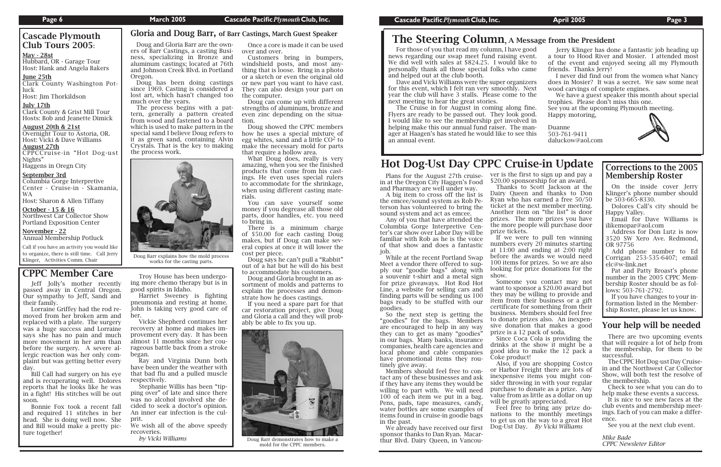# CPPC Member Care

# Hot Dog-Ust Day CPPC Cruise-in Update

Jeff Jolly's mother recently passed away in Central Oregon. Our sympathy to Jeff, Sandi and their family.

 Lorraine Griffey had the rod removed from her broken arm and replaced with a plate. The surgery was a huge success and Lorraine says she has no pain and much more movement in her arm than before the surgery. A severe allergic reaction was her only complaint but was getting better every day.

# Cascade Plymouth Club Tours 2005:

Hubbard, OR - Garage Tour Host: Hank and Angela Baker<mark>s</mark>

Clark County & Grist Mill Tour Hosts: Bob and Jeanette Dimick

 Bill Call had surgery on his eye and is recuperating well. Dolores reports that he looks like he was in a fight! His stitches will be out soon.

### October - 15 & 16 Northwest Car Collector Show Portland Exposition Center

 Bonnie Fox took a recent fall and required 11 stitches in her head. She is doing well now. She and Bill would make a pretty picture together!

### May - 28st

For those of you that read my column. I have good news regarding our swap meet fund raising even We did well with sales at \$824.25. I would like personally thank all those special folks who can and helped out at the club booth.

### June 25th

Clark County Washington Potluck

Host: Jim Thorkildson ....

Dave and Vicki Williams were the super organizer for this event, which I felt ran very smoothly. Ne year the club will have 3 stalls. Please come to the next meeting to hear the great stories.

### July 17th

#### August 20th & 21st

Overnight Tour to Astoria, OR. Host: Vicki & Dave Williams

The Cruise in for August in coming along fine. Flyers are ready to be passed out. They look good. would like to see the membership get involved helping make this our annual fund raiser. The ma ager at Haagen's has stated he would like to see the an annual event.

August 27th CPPCCruise-in "Hot Dog-ust Nights"

Haggens in Oregn City ....

#### September 3rd

Columbia Gorge Interpretive Center - Cruise-in - Skamania, WA

Host: Sharon & Allen Tiffany

#### November - 22 Annual Membership Potluck ....

Call if you have an activity you would like to organize, there is still time. Call Jerry Klinger, Activities Comm. Chair

| od         | Jerry Klinger has done a fantastic job heading up |
|------------|---------------------------------------------------|
| nt.        | a tour to Hood River and Mosier. I attended most  |
| to         | of the event and enjoyed seeing all my Plymouth   |
| ne         | friends. Thanks Jerry!                            |
|            | I never did find out from the women what Nancy    |
| <b>Prs</b> | does in Mosier? It was a secret. We saw some neat |
| ≥xt        | wood carvings of complete engines.                |
| he         | We have a guest speaker this month about special  |
|            | trophies. Please don't miss this one.             |
| ie.        | See you at the upcoming Plymouth meeting.         |
| эd.        | Happy motoring.                                   |
| in         |                                                   |
| ın-        | Duanne                                            |
| ıis        | 503-761-9411                                      |
|            | daluckow@aol.com                                  |
|            |                                                   |

 Plans for the August 27th cruisein at the Oregon City Haggen's Food and Pharmacy are well under way.

 A big item to cross off the list is the emcee/sound system as Rob Peterson has volunteered to bring the sound system and act as emcee.

 Any of you that have attended the Columbia Gorge Interpretive Center's car show over Labor Day will be familiar with Rob as he is the voice of that show and does a fantastic



 While at the recent Portland Swap Meet a vendor there offered to supply our "goodie bags" along with a souvenir t-shirt and a metal sign for prize giveaways. Hot Rod Hot Line, a website for selling cars and finding parts will be sending us 100 bags ready to be stuffed with our goodies.

 So the next step is getting the "goodies" for the bags. Members are encouraged to help in any way they can to get as many "goodies" in our bags. Many banks, insurance companies, health care agencies and local phone and cable companies have promotional items they routinely give away.

 Members should feel free to contact any of these businesses and ask if they have any items they would be willing to part with. We will need 100 of each item we put in a bag. Pens, pads, tape measures, candy, water bottles are some examples of items found in cruise-in goodie bags in the past.

 We already have received our first sponsor thanks to Dan Ryan. Macarthur Blvd. Dairy Queen, in Vancouver is the first to sign up and pay a \$20.00 sponsorship for an award. Thanks to Scott Jackson at the Dairy Queen and thanks to Don Ryan who has earned a free 50/50 ticket at the next member meeting. Another item on "the list" is door prizes. The more prizes you have the more people will purchase door

prize tickets. If we were to pull ten winning numbers every 20 minutes starting at 11:00 and ending at 2:00 right before the awards we would need 100 items for prizes. So we are also looking for prize donations for the show.

 Someone you contact may not want to sponsor a \$20.00 award but they may be willing to provide and item from their business or a gift certificate for something from their business. Members should feel free to donate prizes also. An inexpensive donation that makes a good prize is a 12 pack of soda.

 Since Coca Cola is providing the drinks at the show it might be a good idea to make the  $1\overline{2}$  pack a Coke product!

 Also, if you are shopping Costco or Harbor Freight there are lots of inexpensive items you might consider throwing in with your regular purchase to donate as a prize. Any value from as little as a dollar on up will be greatly appreciated.

 Feel free to bring any prize donations to the monthly meetings to get us on the way to a great Hot Dog-Ust Day. *By Vicki Williams*

 Troy House has been undergoing more chemo therapy but is in good spirits in Idaho.

 Harriet Sweeney is fighting pneumonia and resting at home. John is taking very good care of her.

 Vickie Shepherd continues her recovery at home and makes improvement every day. It has been almost 11 months since her courageous battle back from a stroke began.

 Ray and Virginia Dunn both have been under the weather with that bad flu and a pulled muscle respectively.

 Stephanie Willis has been "tipping over" of late and since there was no alcohol involved she decided to seek a doctor's opinion. An inner ear infection is the culprit.

We wish all of the above speedy recoveries.

*by Vicki Williams*

ers of Barr Castings, a casting Business, specializing in Bronze and aluminum castings; located at 76th and Johnson Creek Blvd. in Portland

Oregon.

 Doug has been doing castings since 1969. Casting is considered a lost art, which hasn't changed too

much over the years.

 Doug and Gloria Barr are the own-Once a core is made it can be used

 The process begins with a pattern, generally a pattern created from wood and fastened to a board which is used to make pattern in the special sand I believe Doug refers to it as green sand, containing Alvin Crystals. That is the key to making

the process work.

over and over. Customers bring in bumpers, windshield posts, and most anything that is loose. Bring in a photo or a sketch or even the original old or new part you want to have cast. They can also design your part on the computer.

 Doug can come up with different strengths of aluminum, bronze and even zinc depending on the situation.

 Doug showed the CPPC members how he uses a special mixture of egg whites, sand and a little  $CO<sup>2</sup>$  to make the necessary mold for parts that require a hollow area.

 What Doug does, really is very amazing, when you see the finished products that come from his castings. He even uses special rulers to accommodate for the shrinkage, when using different casting materials.

 You can save yourself some money if you degrease all those old parts, door handles, etc. you need to bring in.

 There is a minimum charge of \$50.00 for each casting Doug makes, but if Doug can make several copies at once it will lower the cost per piece.

 Doug says he can't pull a "Rabbit" out of a hat but he will do his best to accommodate his customers.

 Doug and Gloria brought in an assortment of molds and patterns to explain the processes and demonstrate how he does castings.

 If you need a spare part for that car restoration project, give Doug and Gloria a call and they will probably be able to fix you up.



Doug Barr demonstrates how to make a mold for the CPPC members.

# Gloria and Doug Barr, of Barr Castings, March Guest Speaker **The Steering Column**, A Message from the President

Doug Barr explains how the mold process works for the casting parts.

### Corrections to the 2005 Membership Roster

 On the inside cover Jerry Klinger's phone number should be 503-665-8330.

 Dolores Call's city should be Happy Valley.

 Email for Dave Williams is ilikemopar@aol.com

 Address for Don Lutz is now 3520 SW Xero Ave. Redmond, OR 97756

 Add phone number to Ed Corrigan 253-535-6407; email elc@w-link.net

 Pat and Patty Broast's phone number in the 2005 CPPC Membership Roster should be as follows: 503-761-2792.

 If you have changes to your information listed in the Membership Roster, please let us know.

# Your help will be needed

 There are two upcoming events that will require a lot of help from the membership, for them to be successful.

 The CPPC Hot Dog-ust Day Cruisein and the Northwest Car Collector Show, will both test the resolve of the membership.

 Check to see what you can do to help make these events a success.

 It is nice to see new faces at the club events and membership meetings. Each of you can make a difference.

See you at the next club event.

*Mike Bade CPPC Newsleter Editor*